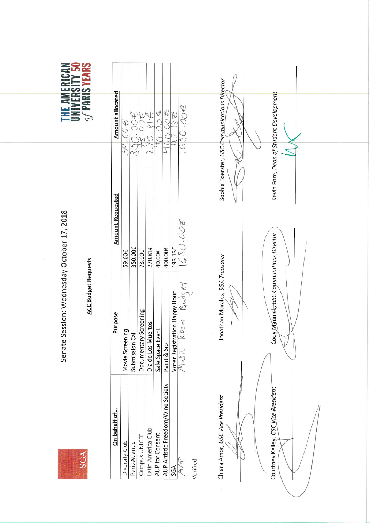SGA

Senate Session: Wednesday October 17, 2018

## **ACC Budget Requests**

|   | ≦ី¤ຮ                                    |
|---|-----------------------------------------|
|   | EĒ                                      |
|   | $\overline{\mathcal{C}}$<br>ಲ<br>$= 64$ |
|   | <b>EES</b><br>C                         |
| E | <b>MANIFESTER</b><br>$\mathcal{A}$<br>÷ |
|   | <b>COMMERCIAL</b>                       |

| On behalf of                        | <b>Purpose</b>                                                                                                                                           | <b>Amount Requested</b> | <b>Amount allocated</b>                          |  |
|-------------------------------------|----------------------------------------------------------------------------------------------------------------------------------------------------------|-------------------------|--------------------------------------------------|--|
| Diversity Club                      | Movie Screening                                                                                                                                          | 59.60€                  | $\overline{X}$<br>$\overline{\mathcal{Q}}$<br>ξĞ |  |
| Paris Atlantic                      | Submission Call                                                                                                                                          | 350.00€                 |                                                  |  |
| Campus UNICEF                       | / Screening<br>Documentary                                                                                                                               | 73.00€                  |                                                  |  |
| Latin America Club                  | Dia de Los Muertos                                                                                                                                       | 270.81€                 |                                                  |  |
| AUP for Consent                     | Safe Space Event                                                                                                                                         | 40.00€                  | $\frac{2}{3}$                                    |  |
| AUP Artistic Freedom/Wine Society   | Paint & Sip                                                                                                                                              | 400.00€                 | 30/                                              |  |
|                                     |                                                                                                                                                          | 193.13€                 | $X^2$                                            |  |
| SGA<br>AMP<br>Verified              | Budget<br>Voter Registration Happy Hour<br>/ VI A.S. C $\begin{array}{c} \bigwedge\limits_{i \in \mathbb{Z}} \mathbb{C}^n \cup \mathbb{C}^n \end{array}$ | $\overline{0}$          | $O(1) \in$<br>$\overline{c}$                     |  |
|                                     |                                                                                                                                                          |                         |                                                  |  |
| Chiara Amor, USC Vice President     | Jonathan Morales, SGA Treasurer                                                                                                                          |                         | Sophia Foerster, USC Communications Director     |  |
|                                     |                                                                                                                                                          |                         |                                                  |  |
|                                     |                                                                                                                                                          |                         |                                                  |  |
| Courtney Kelley, GSC Vice President | Cody Mannick, GSC Communitions Director                                                                                                                  |                         | Kevin Fore, Dean of Student Development          |  |
|                                     |                                                                                                                                                          |                         |                                                  |  |
|                                     |                                                                                                                                                          |                         |                                                  |  |
|                                     |                                                                                                                                                          |                         |                                                  |  |
|                                     |                                                                                                                                                          |                         |                                                  |  |
|                                     |                                                                                                                                                          |                         |                                                  |  |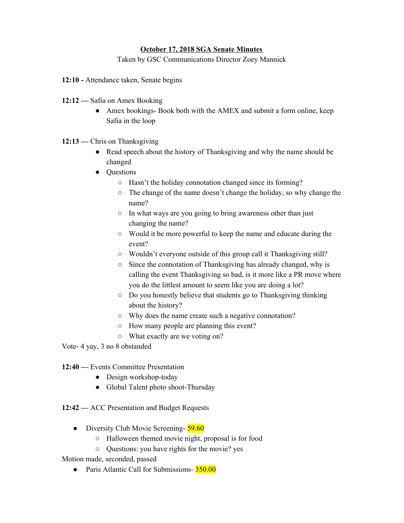## **October 17, 2018 SGA Senate Minutes**

Taken by GSC Communications Director Zoey Mannick

- **12:10** Attendance taken, Senate begins
- **12:12** Safia on Amex Booking
	- Amex bookings- Book both with the AMEX and submit a form online, keep Safia in the loop
- 12:13 Chris on Thanksgiving
	- Read speech about the history of Thanksgiving and why the name should be changed
	- Questions
		- Hasn't the holiday connotation changed since its forming?
		- The change of the name doesn't change the holiday, so why change the name?
		- In what ways are you going to bring awareness other than just changing the name?
		- Would it be more powerful to keep the name and educate during the event?
		- Wouldn't everyone outside of this group call it Thanksgiving still?
		- Since the connotation of Thanksgiving has already changed, why is calling the event Thanksgiving so bad, is it more like a PR move where you do the littlest amount to seem like you are doing a lot?
		- Do you honestly believe that students go to Thanksgiving thinking about the history?
		- Why does the name create such a negative connotation?
		- How many people are planning this event?
		- What exactly are we voting on?

Vote- 4 yay, 3 no 8 obstanded

**12:40 —** Events Committee Presentation

- Design workshop-today
- Global Talent photo shoot-Thursday
- **12:42** ACC Presentation and Budget Requests
	- **●** Diversity Club Movie Screening- 59.60
		- Halloween themed movie night, proposal is for food
		- Questions: you have rights for the movie? yes

Motion made, seconded, passed

• Paris Atlantic Call for Submissions-  $\frac{350.00}{ }$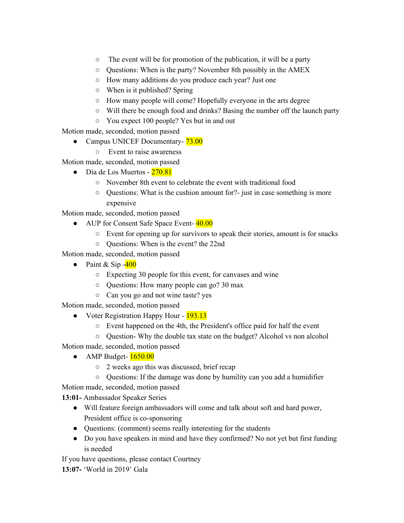- The event will be for promotion of the publication, it will be a party
- Questions: When is the party? November 8th possibly in the AMEX
- How many additions do you produce each year? Just one
- When is it published? Spring
- How many people will come? Hopefully everyone in the arts degree
- Will there be enough food and drinks? Basing the number off the launch party
- You expect 100 people? Yes but in and out

Motion made, seconded, motion passed

- Campus UNICEF Documentary-  $73.00$ 
	- Event to raise awareness

Motion made, seconded, motion passed

- $\bullet$  Dia de Los Muertos  $270.81$ 
	- November 8th event to celebrate the event with traditional food
	- Questions: What is the cushion amount for?- just in case something is more expensive

Motion made, seconded, motion passed

- AUP for Consent Safe Space Event- 40.00
	- Event for opening up for survivors to speak their stories, amount is for snacks
	- Questions: When is the event? the 22nd

Motion made, seconded, motion passed

- Paint & Sip  $-400$ 
	- Expecting 30 people for this event, for canvases and wine
	- Questions: How many people can go? 30 max
	- Can you go and not wine taste? yes

Motion made, seconded, motion passed

- Voter Registration Happy Hour 193.13
	- Event happened on the 4th, the President's office paid for half the event
	- Question- Why the double tax state on the budget? Alcohol vs non alcohol

Motion made, seconded, motion passed

- AMP Budget- 1650.00
	- 2 weeks ago this was discussed, brief recap
	- Questions: If the damage was done by humility can you add a humidifier

Motion made, seconded, motion passed

**13:01-** Ambassador Speaker Series

- Will feature foreign ambassadors will come and talk about soft and hard power, President office is co-sponsoring
- Questions: (comment) seems really interesting for the students
- Do you have speakers in mind and have they confirmed? No not yet but first funding is needed

If you have questions, please contact Courtney

**13:07-** 'World in 2019' Gala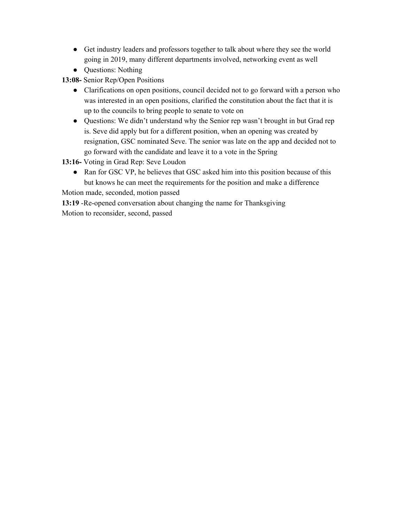- Get industry leaders and professors together to talk about where they see the world going in 2019, many different departments involved, networking event as well
- Questions: Nothing

**13:08-** Senior Rep/Open Positions

- Clarifications on open positions, council decided not to go forward with a person who was interested in an open positions, clarified the constitution about the fact that it is up to the councils to bring people to senate to vote on
- Questions: We didn't understand why the Senior rep wasn't brought in but Grad rep is. Seve did apply but for a different position, when an opening was created by resignation, GSC nominated Seve. The senior was late on the app and decided not to go forward with the candidate and leave it to a vote in the Spring

**13:16-** Voting in Grad Rep: Seve Loudon

• Ran for GSC VP, he believes that GSC asked him into this position because of this but knows he can meet the requirements for the position and make a difference

Motion made, seconded, motion passed

**13:19** -Re-opened conversation about changing the name for Thanksgiving Motion to reconsider, second, passed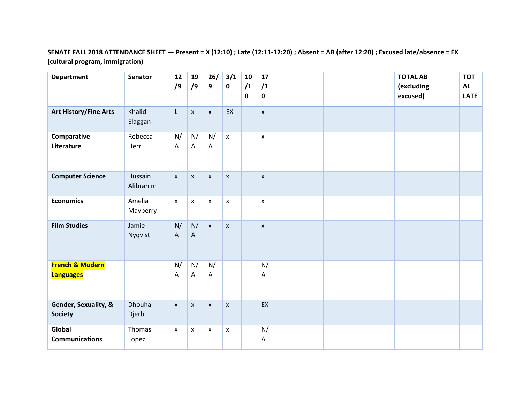## **SENATE FALL 2018 ATTENDANCE SHEET — Present = X (12:10) ; Late (12:11-12:20) ; Absent = AB (after 12:20) ; Excused late/absence = EX (cultural program, immigration)**

| <b>Department</b>                              | <b>Senator</b>       | 12<br>/9                        | 19<br>/9           | 26/<br>9           | 3/1<br>$\mathbf 0$        | 10<br>/1<br>0 | 17<br>/1<br>$\mathbf 0$ |  |  |  | <b>TOTAL AB</b><br>(excluding<br>excused) | <b>TOT</b><br><b>AL</b><br><b>LATE</b> |
|------------------------------------------------|----------------------|---------------------------------|--------------------|--------------------|---------------------------|---------------|-------------------------|--|--|--|-------------------------------------------|----------------------------------------|
| <b>Art History/Fine Arts</b>                   | Khalid<br>Elaggan    | L                               | $\pmb{\mathsf{X}}$ | $\pmb{\mathsf{X}}$ | EX                        |               | $\pmb{\mathsf{X}}$      |  |  |  |                                           |                                        |
| Comparative<br>Literature                      | Rebecca<br>Herr      | N/<br>$\boldsymbol{\mathsf{A}}$ | N/<br>A            | N/<br>A            | $\bar{\mathbf{x}}$        |               | $\pmb{\mathsf{x}}$      |  |  |  |                                           |                                        |
| <b>Computer Science</b>                        | Hussain<br>Alibrahim | $\pmb{\chi}$                    | $\pmb{\mathsf{x}}$ | $\pmb{\mathsf{x}}$ | $\pmb{\mathsf{x}}$        |               | X                       |  |  |  |                                           |                                        |
| <b>Economics</b>                               | Amelia<br>Mayberry   | $\pmb{\mathsf{x}}$              | $\pmb{\chi}$       | $\pmb{\chi}$       | $\pmb{\mathsf{x}}$        |               | $\pmb{\times}$          |  |  |  |                                           |                                        |
| <b>Film Studies</b>                            | Jamie<br>Nyqvist     | N/<br>$\boldsymbol{\mathsf{A}}$ | N/<br>$\mathsf A$  | $\mathsf{X}$       | $\boldsymbol{\mathsf{X}}$ |               | $\pmb{\mathsf{X}}$      |  |  |  |                                           |                                        |
| <b>French &amp; Modern</b><br><b>Languages</b> |                      | N/<br>Α                         | N/<br>A            | N/<br>A            |                           |               | N/<br>Α                 |  |  |  |                                           |                                        |
| Gender, Sexuality, &<br><b>Society</b>         | Dhouha<br>Djerbi     | $\pmb{\mathsf{x}}$              | $\pmb{\mathsf{x}}$ | $\pmb{\times}$     | $\pmb{\times}$            |               | EX                      |  |  |  |                                           |                                        |
| Global<br><b>Communications</b>                | Thomas<br>Lopez      | $\boldsymbol{\mathsf{x}}$       | X                  | X                  | $\pmb{\mathsf{x}}$        |               | N/<br>Α                 |  |  |  |                                           |                                        |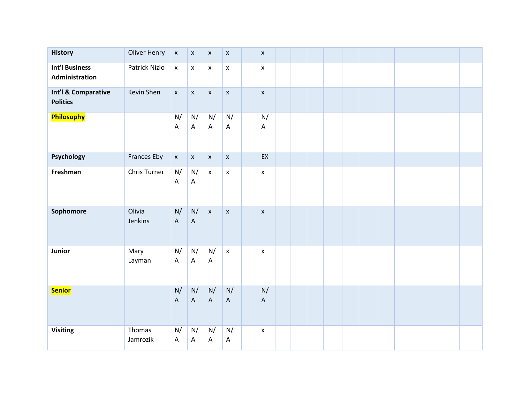| <b>History</b>                          | Oliver Henry       | $\pmb{\mathsf{X}}$              | $\pmb{\mathsf{X}}$              | $\mathsf X$        | $\pmb{\mathsf{X}}$              | $\pmb{\mathsf{x}}$              |  |  |  |  |  |
|-----------------------------------------|--------------------|---------------------------------|---------------------------------|--------------------|---------------------------------|---------------------------------|--|--|--|--|--|
| <b>Int'l Business</b><br>Administration | Patrick Nizio      | $\pmb{\mathsf{X}}$              | $\pmb{\mathsf{x}}$              | $\pmb{\mathsf{X}}$ | $\mathsf X$                     | $\pmb{\mathsf{X}}$              |  |  |  |  |  |
| Int'l & Comparative<br><b>Politics</b>  | Kevin Shen         | $\pmb{\mathsf{x}}$              | $\mathsf X$                     | $\mathsf X$        | $\boldsymbol{\mathsf{X}}$       | $\pmb{\mathsf{x}}$              |  |  |  |  |  |
| Philosophy                              |                    | N/<br>A                         | N/<br>$\boldsymbol{\mathsf{A}}$ | N/<br>A            | N/<br>$\boldsymbol{\mathsf{A}}$ | N/<br>$\boldsymbol{\mathsf{A}}$ |  |  |  |  |  |
| Psychology                              | Frances Eby        | $\mathsf X$                     | $\mathsf X$                     | $\mathsf X$        | $\mathsf X$                     | EX                              |  |  |  |  |  |
| Freshman                                | Chris Turner       | $\mathsf{N}/$<br>$\mathsf A$    | N/<br>$\boldsymbol{\mathsf{A}}$ | $\mathsf X$        | $\pmb{\mathsf{x}}$              | $\pmb{\mathsf{x}}$              |  |  |  |  |  |
| Sophomore                               | Olivia<br>Jenkins  | N/<br>$\mathsf A$               | N/<br>$\boldsymbol{\mathsf{A}}$ | $\mathsf X$        | $\pmb{\mathsf{x}}$              | $\pmb{\mathsf{x}}$              |  |  |  |  |  |
| Junior                                  | Mary<br>Layman     | N/<br>$\boldsymbol{\mathsf{A}}$ | N/<br>$\boldsymbol{\mathsf{A}}$ | N/<br>A            | $\bar{\mathbf{x}}$              | $\pmb{\mathsf{x}}$              |  |  |  |  |  |
| <b>Senior</b>                           |                    | N/<br>$\mathsf A$               | N/<br>$\mathsf A$               | N/<br>$\mathsf A$  | N/<br>$\mathsf A$               | N/<br>$\boldsymbol{\mathsf{A}}$ |  |  |  |  |  |
| <b>Visiting</b>                         | Thomas<br>Jamrozik | N/<br>A                         | N/<br>$\boldsymbol{\mathsf{A}}$ | N/<br>A            | N/<br>$\boldsymbol{\mathsf{A}}$ | $\pmb{\times}$                  |  |  |  |  |  |